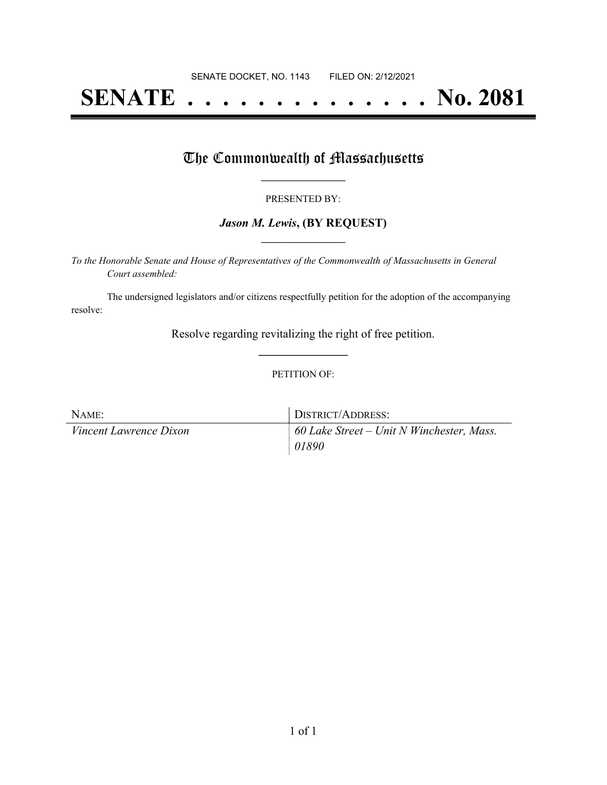# **SENATE . . . . . . . . . . . . . . No. 2081**

### The Commonwealth of Massachusetts

#### PRESENTED BY:

#### *Jason M. Lewis***, (BY REQUEST) \_\_\_\_\_\_\_\_\_\_\_\_\_\_\_\_\_**

*To the Honorable Senate and House of Representatives of the Commonwealth of Massachusetts in General Court assembled:*

The undersigned legislators and/or citizens respectfully petition for the adoption of the accompanying resolve:

> Resolve regarding revitalizing the right of free petition. **\_\_\_\_\_\_\_\_\_\_\_\_\_\_\_**

#### PETITION OF:

| NAME:                         | DISTRICT/ADDRESS:                                |
|-------------------------------|--------------------------------------------------|
| <i>Vincent Lawrence Dixon</i> | $\mid$ 60 Lake Street – Unit N Winchester, Mass. |
|                               | $\mid$ 01890                                     |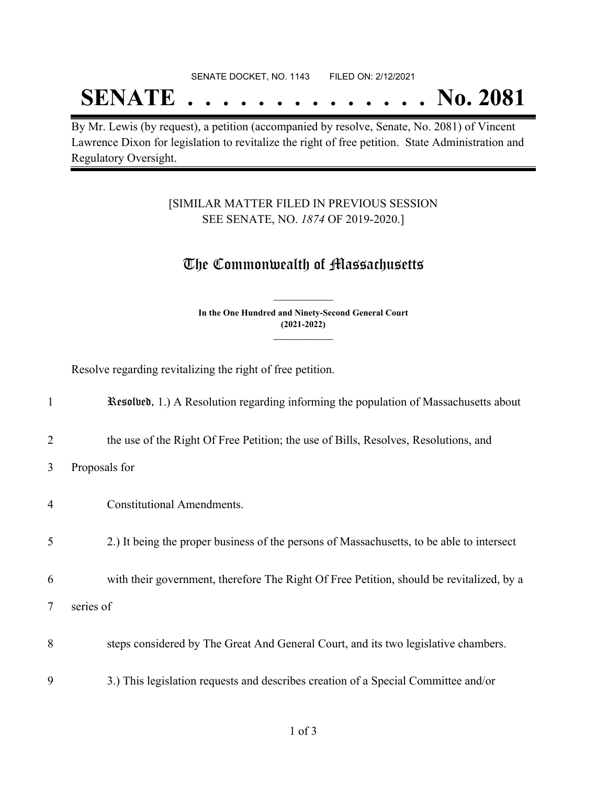#### SENATE DOCKET, NO. 1143 FILED ON: 2/12/2021

## **SENATE . . . . . . . . . . . . . . No. 2081**

By Mr. Lewis (by request), a petition (accompanied by resolve, Senate, No. 2081) of Vincent Lawrence Dixon for legislation to revitalize the right of free petition. State Administration and Regulatory Oversight.

### [SIMILAR MATTER FILED IN PREVIOUS SESSION SEE SENATE, NO. *1874* OF 2019-2020.]

## The Commonwealth of Massachusetts

**In the One Hundred and Ninety-Second General Court (2021-2022) \_\_\_\_\_\_\_\_\_\_\_\_\_\_\_**

**\_\_\_\_\_\_\_\_\_\_\_\_\_\_\_**

Resolve regarding revitalizing the right of free petition.

| $\mathbf{1}$   | Resolved, 1.) A Resolution regarding informing the population of Massachusetts about      |
|----------------|-------------------------------------------------------------------------------------------|
| $\overline{2}$ | the use of the Right Of Free Petition; the use of Bills, Resolves, Resolutions, and       |
| 3              | Proposals for                                                                             |
| 4              | <b>Constitutional Amendments.</b>                                                         |
| 5              | 2.) It being the proper business of the persons of Massachusetts, to be able to intersect |
| 6              | with their government, therefore The Right Of Free Petition, should be revitalized, by a  |
| $\tau$         | series of                                                                                 |
| 8              | steps considered by The Great And General Court, and its two legislative chambers.        |
| 9              | 3.) This legislation requests and describes creation of a Special Committee and/or        |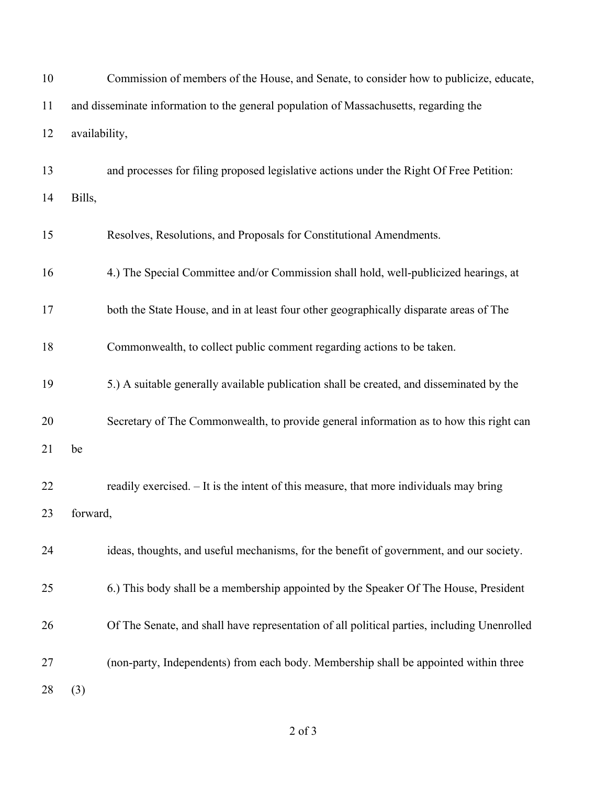| 10 |                                                                                       | Commission of members of the House, and Senate, to consider how to publicize, educate,      |  |
|----|---------------------------------------------------------------------------------------|---------------------------------------------------------------------------------------------|--|
| 11 | and disseminate information to the general population of Massachusetts, regarding the |                                                                                             |  |
| 12 | availability,                                                                         |                                                                                             |  |
| 13 |                                                                                       | and processes for filing proposed legislative actions under the Right Of Free Petition:     |  |
| 14 | Bills,                                                                                |                                                                                             |  |
| 15 |                                                                                       | Resolves, Resolutions, and Proposals for Constitutional Amendments.                         |  |
| 16 |                                                                                       | 4.) The Special Committee and/or Commission shall hold, well-publicized hearings, at        |  |
| 17 |                                                                                       | both the State House, and in at least four other geographically disparate areas of The      |  |
| 18 |                                                                                       | Commonwealth, to collect public comment regarding actions to be taken.                      |  |
| 19 |                                                                                       | 5.) A suitable generally available publication shall be created, and disseminated by the    |  |
| 20 |                                                                                       | Secretary of The Commonwealth, to provide general information as to how this right can      |  |
| 21 | be                                                                                    |                                                                                             |  |
| 22 |                                                                                       | readily exercised. - It is the intent of this measure, that more individuals may bring      |  |
| 23 | forward.                                                                              |                                                                                             |  |
| 24 |                                                                                       | ideas, thoughts, and useful mechanisms, for the benefit of government, and our society.     |  |
| 25 |                                                                                       | 6.) This body shall be a membership appointed by the Speaker Of The House, President        |  |
| 26 |                                                                                       | Of The Senate, and shall have representation of all political parties, including Unenrolled |  |
| 27 |                                                                                       | (non-party, Independents) from each body. Membership shall be appointed within three        |  |
| 28 | (3)                                                                                   |                                                                                             |  |

of 3